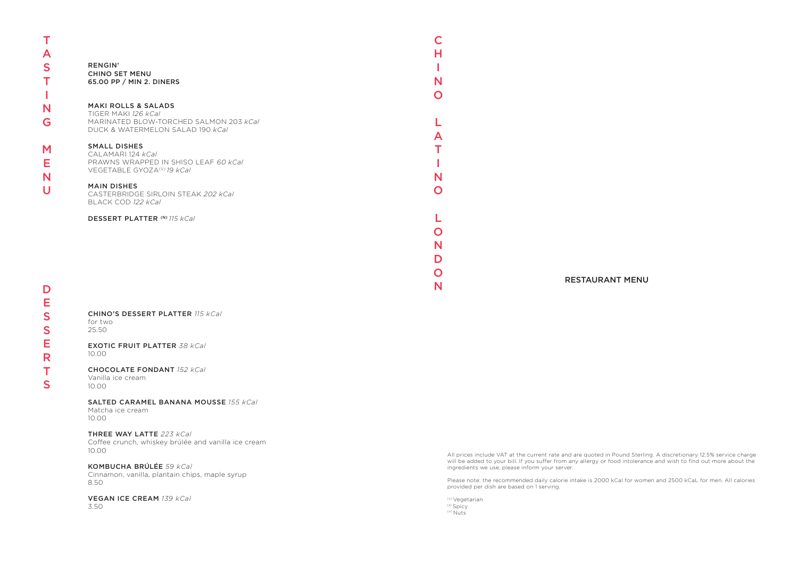T

A S

T

N  $\overline{U}$ 

I N

G

M

E

D E S S E R T S

CHINO'S DESSERT PLATTER *115 kCal* for two 25.50

| <b>RENGIN'</b><br><b>CHINO SET MENU</b><br>65.00 PP / MIN 2. DINERS                                                                 | N      |
|-------------------------------------------------------------------------------------------------------------------------------------|--------|
| <b>MAKI ROLLS &amp; SALADS</b><br>TIGER MAKI 126 kCal<br>MARINATED BLOW-TORCHED SALMON 203 kCal<br>DUCK & WATERMELON SALAD 190 kCal |        |
| <b>SMALL DISHES</b><br>CALAMARI 124 kCal<br>PRAWNS WRAPPED IN SHISO LEAF 60 kCal<br>VEGETABLE GYOZA <sup>(V)</sup> 19 kCal          | N      |
| <b>MAIN DISHES</b><br>CASTERBRIDGE SIRLOIN STEAK 202 kCal<br>BLACK COD 122 kCal                                                     |        |
| <b>DESSERT PLATTER (N) 115 kCal</b>                                                                                                 | N<br>n |
|                                                                                                                                     | N      |

EXOTIC FRUIT PLATTER *38 kCal* 10.00

CHOCOLATE FONDANT *152 kCal*

Vanilla ice cream 10.00

# SALTED CARAMEL BANANA MOUSSE *155 kCal*

Matcha ice cream 10.00

### THREE WAY LATTE *223 kCal*

(v) Vegetarian (s) Spicy  $(n)$  Nuts

N RESTAURANT MENU

Coffee crunch, whiskey brúlée and vanilla ice cream 10.00

### KOMBUCHA BRÚLÉE *59 kCal*

Cinnamon, vanilla, plantain chips, maple syrup 8.50

#### VEGAN ICE CREAM *139 kCal* 3.50

All prices include VAT at the current rate and are quoted in Pound Sterling. A discretionary 12.5% service charge will be added to your bill. If you suffer from any allergy or food intolerance and wish to find out more about the ingredients we use, please inform your server.

Please note: the recommended daily calorie intake is 2000 kCal for women and 2500 kCaL for men. All calories provided per dish are based on 1 serving.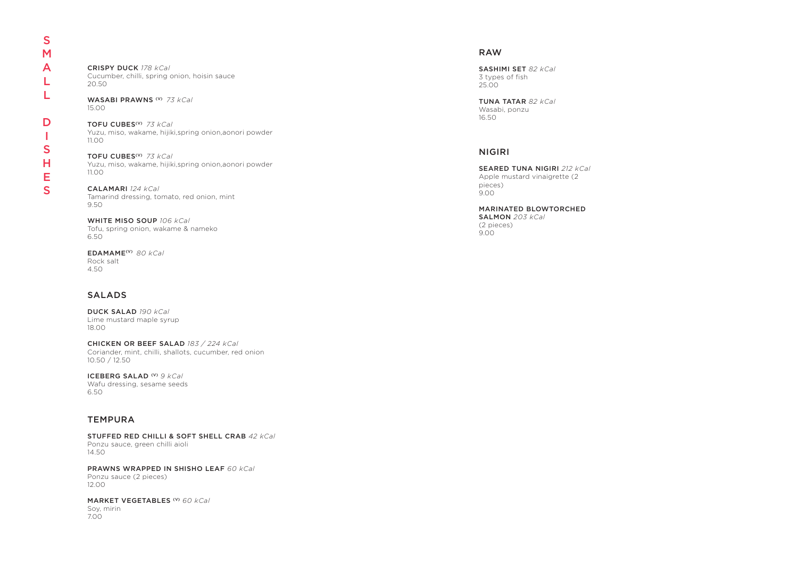CRISPY DUCK *178 kCal* Cucumber, chilli, spring onion, hoisin sauce 20.50

WASABI PRAWNS (V) *73 kCal* 15.00

TOFU CUBES(V) *73 kCal* Yuzu, miso, wakame, hijiki,spring onion,aonori powder 11.00

TOFU CUBES(V) *73 kCal* Yuzu, miso, wakame, hijiki,spring onion,aonori powder 11.00

CALAMARI *124 kCal* Tamarind dressing, tomato, red onion, mint 9.50

WHITE MISO SOUP *106 kCal* Tofu, spring onion, wakame & nameko 6.50

EDAMAME(V) *80 kCal* Rock salt 4.50

### SALADS

DUCK SALAD *190 kCal* Lime mustard maple syrup 18.00

CHICKEN OR BEEF SALAD *183 / 224 kCal* Coriander, mint, chilli, shallots, cucumber, red onion 10.50 / 12.50

ICEBERG SALAD (V) *9 kCal* Wafu dressing, sesame seeds 6.50

### **TEMPURA**

### RAW

SASHIMI SET *82 kCal* 3 types of fish 25.00

TUNA TATAR *82 kCal* Wasabi, ponzu 16.50

### NIGIRI

#### SEARED TUNA NIGIRI *212 kCal* Apple mustard vinaigrette (2 pieces) 9.00

MARINATED BLOWTORCHED SALMON *203 kCal* (2 pieces) 9.00

STUFFED RED CHILLI & SOFT SHELL CRAB *42 kCal* Ponzu sauce, green chilli aioli 14.50

PRAWNS WRAPPED IN SHISHO LEAF *60 kCal* Ponzu sauce (2 pieces) 12.00

MARKET VEGETABLES (V) *60 kCal* Soy, mirin 7.00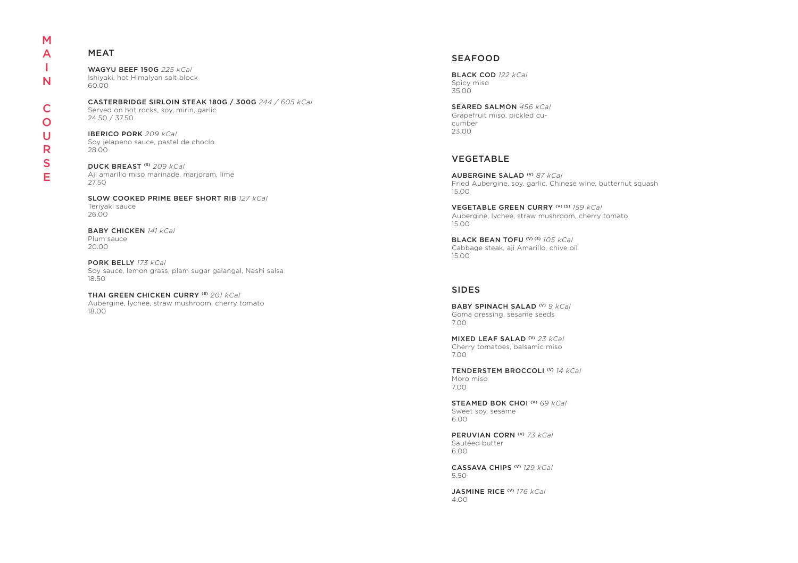| M |
|---|
| Д |
| ı |
| N |
|   |
| C |
| O |
| Ū |
| R |
| S |

E

## MEAT

WAGYU BEEF 150G *225 kCal* Ishiyaki, hot Himalyan salt block 60.00

CASTERBRIDGE SIRLOIN STEAK 180G / 300G *244 / 605 kCal* Served on hot rocks, soy, mirin, garlic 24.50 / 37.50

IBERICO PORK *209 kCal* Soy jelapeno sauce, pastel de choclo 28.00

DUCK BREAST (S) *209 kCal* Aji amarillo miso marinade, marjoram, lime 27.50

SLOW COOKED PRIME BEEF SHORT RIB *127 kCal* Teriyaki sauce 26.00

BABY CHICKEN *141 kCal* Plum sauce 20.00

PORK BELLY *173 kCal* Soy sauce, lemon grass, plam sugar galangal, Nashi salsa

18.50

THAI GREEN CHICKEN CURRY (S) *201 kCal* Aubergine, lychee, straw mushroom, cherry tomato 18.00

## VEGETABLE

AUBERGINE SALAD (V) *87 kCal* Fried Aubergine, soy, garlic, Chinese wine, butternut squash 15.00

VEGETABLE GREEN CURRY (V) (S) *159 kCal* Aubergine, lychee, straw mushroom, cherry tomato 15.00

BLACK BEAN TOFU (V) (S) *105 kCal* Cabbage steak, aji Amarillo, chive oil 15.00

## SIDES

BABY SPINACH SALAD (V) *9 kCal* Goma dressing, sesame seeds 7.00

MIXED LEAF SALAD (V) *23 kCal* Cherry tomatoes, balsamic miso 7.00

TENDERSTEM BROCCOLI (V) *14 kCal* Moro miso 7.00

STEAMED BOK CHOI (V) *69 kCal* Sweet soy, sesame 6.00

PERUVIAN CORN (V) *73 kCal* Sautéed butter 6.00

CASSAVA CHIPS (V) *129 kCal* 5.50

JASMINE RICE (V) *176 kCal* 4.00

## SEAFOOD

BLACK COD *122 kCal* Spicy miso 35.00

SEARED SALMON *456 kCal* Grapefruit miso, pickled cucumber 23.00